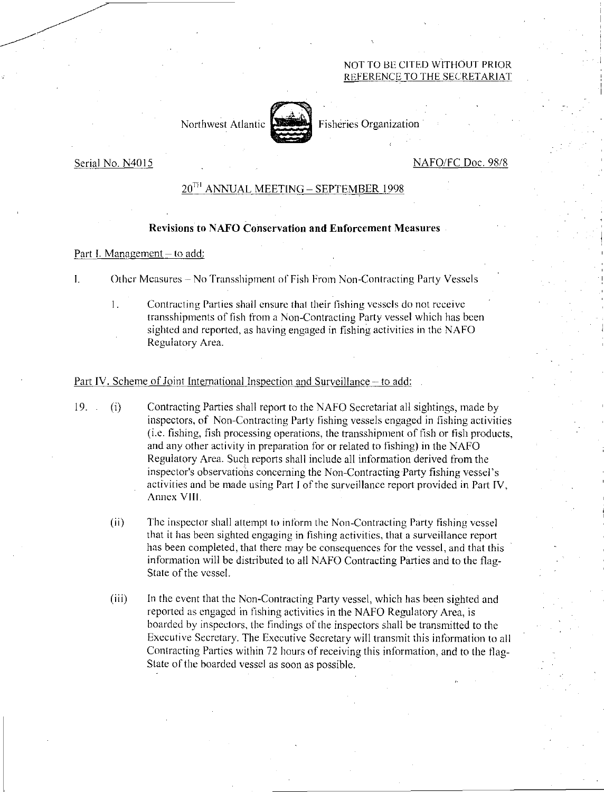## NOT TO BE CITED WITHOUT PRIOR REFERENCE TO THE SECRETARIAT

Northwest Atlantic Fisheries Organization

## Serial No. N4015 NAFO/FC Doc. 98/8

# 20TH ANNUAL MEETING—SEPTEMBER 1998

## Revisions to NAFO Conservation and Enforcement Measures

#### Part I. Management — to add:

I. Other Measures – No Transshipment of Fish From Non-Contracting Party Vessels

 $\mathbf{1}$ . Contracting Parties shall ensure that their fishing vessels do not receive transshipments of fish from a Non-Contracting Party vessel which has been sighted and reported, as having engaged in fishing activities in the NAFO Regulatory Area.

## Part IV. Scheme of Joint International Inspection and Surveillance – to add:

- 19. (i) Contracting Parties shall report to the NAFO Secretariat all sightings, made by inspectors, of Non-Contracting Party fishing vessels engaged in fishing activities (i.e. fishing, fish processing operations, the transshipment of fish or fish products, and any other activity in preparation for or related to fishing) in the NAFO Regulatory Area. Such reports shall include all information derived from the inspector's observations concerning the Non-Contracting Party fishing vessel's activities and be made using Part I of the surveillance report provided in Part IV, Annex VIII.
	- $(ii)$ The inspector shall attempt to inform the Non-Contracting Party fishing vessel that it has been sighted engaging in fishing activities, that a surveillance report has been completed, that there may be consequences for the vessel, and that this information will be distributed to all NAFO Contracting Parties and to the flag-State of the vessel.
	- (iii) In the event that the Non-Contracting Party vessel, which has been sighted and reported as engaged in fishing activities in the NAFO Regulatory Area, is boarded by inspectors, the findings of the inspectors shall be transmitted to the Executive Secretary. The Executive Secretary will transmit this information to all Contracting Parties within 72 hours of receiving this information, and to the flag-State of the boarded vessel as soon as possible.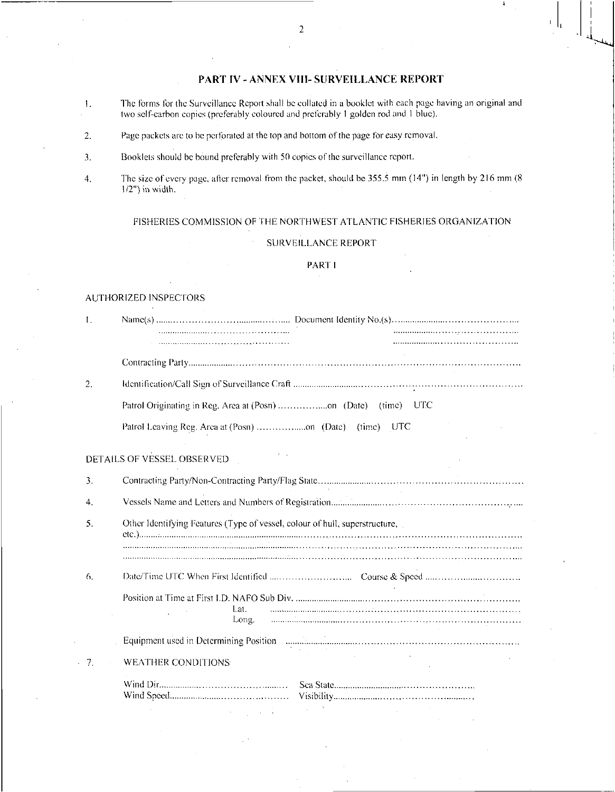## PART IV - ANNEX VIII- SURVEILLANCE REPORT

- 1. The forms for the Surveillance Report shall he collated in a booklet with each page having an original and two self-carbon copies (preferably coloured and preferably 1 golden rod and I blue).
- 2. Page packets arc to he perforated at the top and bottom of the page for easy removal.
- 3. Booklets should he bound preferably with 50 copies of the surveillance report.
- 4. The size of every page, after removal from the packet, should be 355.5 mm (14") in length by 216 mm (8 1/2") in width.

## FISHERIES COMMISSION OF THE NORTHWEST ATLANTIC FISHERIES ORGANIZATION

#### SURVEILLANCE REPORT

#### PART I

#### AUTHORIZED INSPECTORS

| I. |                                                                             |  |  |  |  |
|----|-----------------------------------------------------------------------------|--|--|--|--|
|    |                                                                             |  |  |  |  |
|    |                                                                             |  |  |  |  |
| 2. |                                                                             |  |  |  |  |
|    | Patrol Originating in Reg. Area at (Posn) on (Date) (time) UTC              |  |  |  |  |
|    | (time)<br>- UTC                                                             |  |  |  |  |
|    | DETAILS OF VESSEL OBSERVED                                                  |  |  |  |  |
| 3. |                                                                             |  |  |  |  |
| 4. |                                                                             |  |  |  |  |
| 5. | Other Identifying Features (Type of vessel, colour of hull, superstructure, |  |  |  |  |
|    |                                                                             |  |  |  |  |
| 6. |                                                                             |  |  |  |  |
|    | Lat.<br>Long.                                                               |  |  |  |  |
|    | Equipment used in Determining Position                                      |  |  |  |  |
| 7. | WEATHER CONDITIONS                                                          |  |  |  |  |
|    |                                                                             |  |  |  |  |
|    |                                                                             |  |  |  |  |